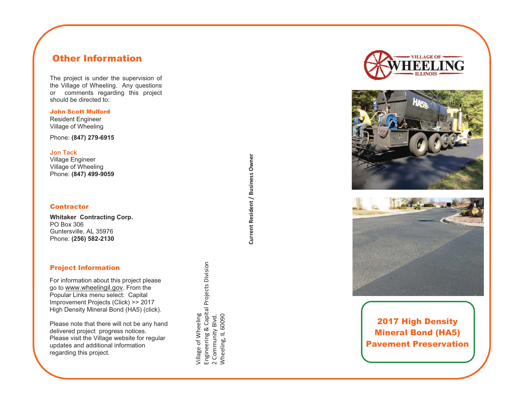## Other Information

The project is under the supervision of the Village of Wheeling. Any questions or comments regarding this project should be directed to:

#### John Scott Mulford

Resident Engineer Village of Wheeling

Phone: **(847) 279-6915**

**Jon Tack** 

Village Engineer Village of Wheeling Phone: **(847) 499-9059** 

### **Contractor**

**Whitaker Contracting Corp.**  PO Box 306 Guntersville, AL 35976 Phone: **(256) 582-2130**

### Project Information

For information about this project please go to www.wheelingil.gov. From the Popular Links menu select: Capital Improvement Projects (Click) >> 2017 High Density Mineral Bond (HA5) (click).

Please note that there will not be any hand delivered project progress notices. Please visit the Village website for regular updates and additional information regarding this project.

**Current Resident / Business Owner**  Current Resident / Business Owner

Village of Wheeling

village of Wheeling

Engineering & Capital Projects Division

2 Community Blvd. Wheeling, IL 60090

Engineering & Capital Projects Division<br>2 Community Blvd.<br>Wheeling, IL 60090







2017 High Density Mineral Bond (HA5) Pavement Preservation